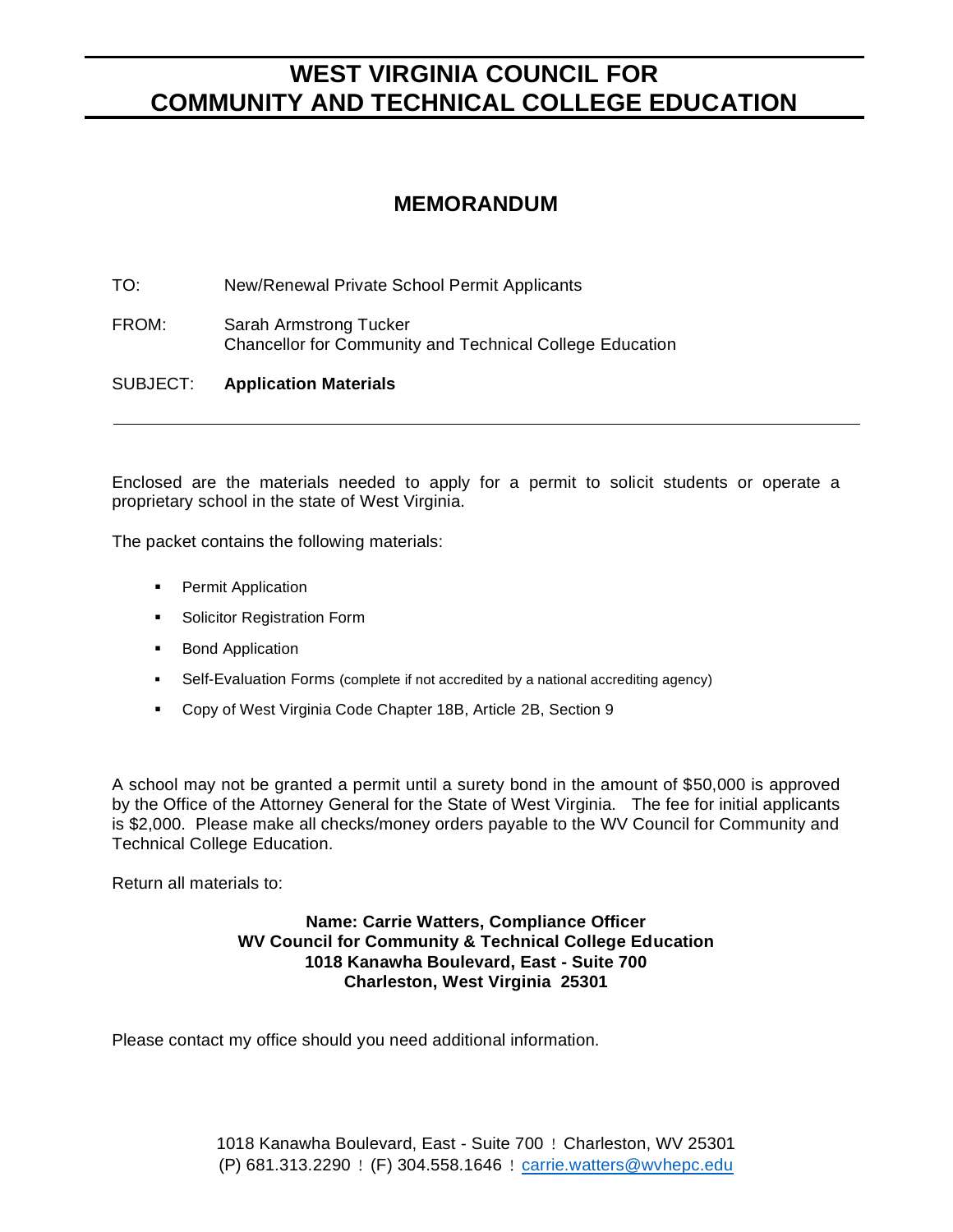### **MEMORANDUM**

TO: New/Renewal Private School Permit Applicants

FROM: Sarah Armstrong Tucker Chancellor for Community and Technical College Education

SUBJECT: **Application Materials**

Enclosed are the materials needed to apply for a permit to solicit students or operate a proprietary school in the state of West Virginia.

The packet contains the following materials:

- Permit Application
- Solicitor Registration Form
- Bond Application
- Self-Evaluation Forms (complete if not accredited by a national accrediting agency)
- Copy of West Virginia Code Chapter 18B, Article 2B, Section 9

A school may not be granted a permit until a surety bond in the amount of \$50,000 is approved by the Office of the Attorney General for the State of West Virginia. The fee for initial applicants is \$2,000. Please make all checks/money orders payable to the WV Council for Community and Technical College Education.

Return all materials to:

#### **Name: Carrie Watters, Compliance Officer WV Council for Community & Technical College Education 1018 Kanawha Boulevard, East - Suite 700 Charleston, West Virginia 25301**

Please contact my office should you need additional information.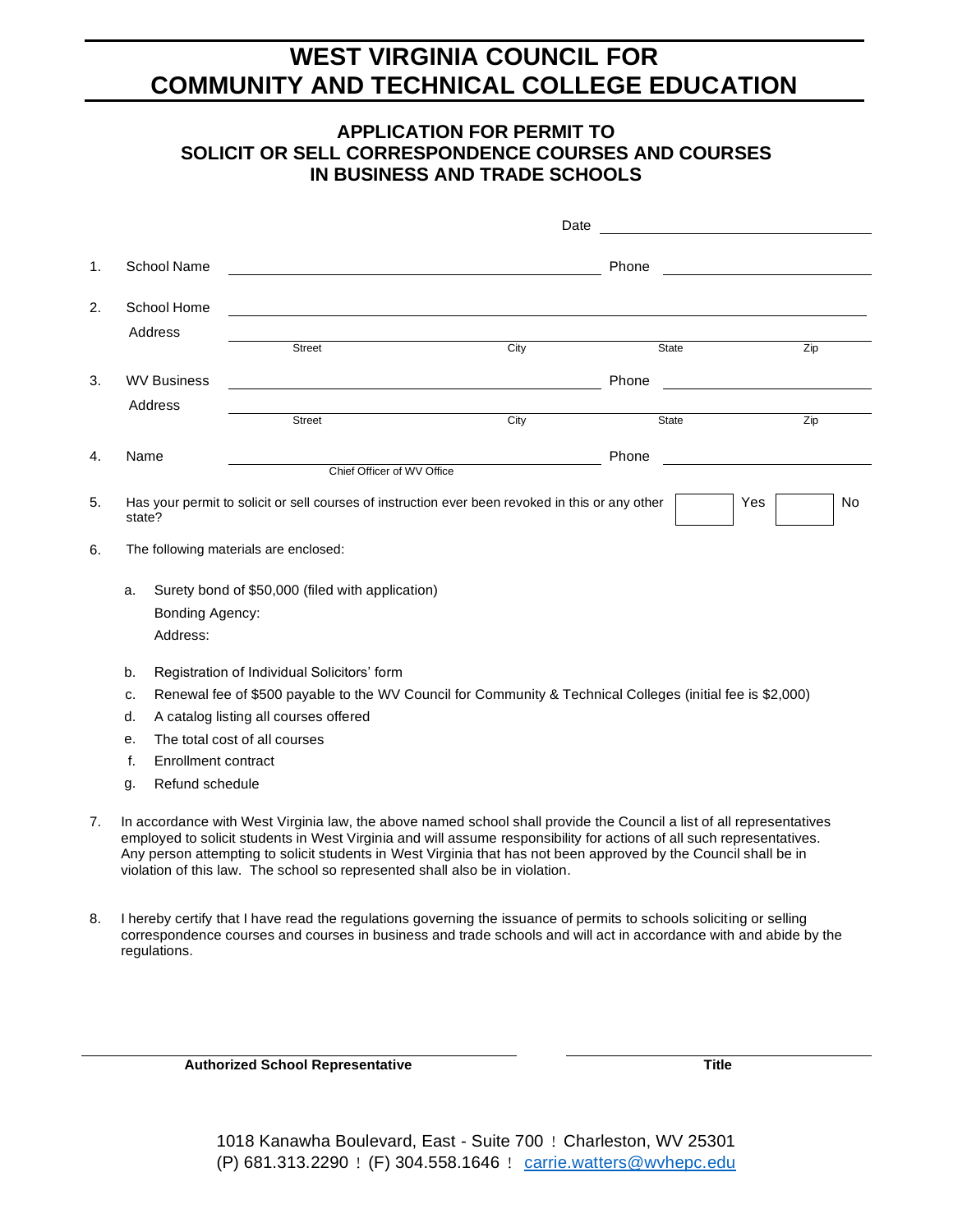### **APPLICATION FOR PERMIT TO SOLICIT OR SELL CORRESPONDENCE COURSES AND COURSES IN BUSINESS AND TRADE SCHOOLS**

|                                             |                                                                                                                                                                                                                                                                                                                                                                                                                                                   |                     |                                                  | Date                                                                                                       |              | <u> 1980 - Johann Stein, fransk politik (</u> |
|---------------------------------------------|---------------------------------------------------------------------------------------------------------------------------------------------------------------------------------------------------------------------------------------------------------------------------------------------------------------------------------------------------------------------------------------------------------------------------------------------------|---------------------|--------------------------------------------------|------------------------------------------------------------------------------------------------------------|--------------|-----------------------------------------------|
| 1.                                          |                                                                                                                                                                                                                                                                                                                                                                                                                                                   | <b>School Name</b>  |                                                  |                                                                                                            | Phone        |                                               |
| 2.                                          |                                                                                                                                                                                                                                                                                                                                                                                                                                                   | School Home         |                                                  |                                                                                                            |              |                                               |
|                                             |                                                                                                                                                                                                                                                                                                                                                                                                                                                   | Address             |                                                  |                                                                                                            |              |                                               |
|                                             |                                                                                                                                                                                                                                                                                                                                                                                                                                                   |                     | <b>Street</b>                                    | City                                                                                                       | <b>State</b> | $\overline{Zip}$                              |
| 3.                                          |                                                                                                                                                                                                                                                                                                                                                                                                                                                   | <b>WV Business</b>  |                                                  |                                                                                                            | Phone        |                                               |
|                                             |                                                                                                                                                                                                                                                                                                                                                                                                                                                   | Address             |                                                  |                                                                                                            |              |                                               |
|                                             |                                                                                                                                                                                                                                                                                                                                                                                                                                                   |                     | Street                                           | City                                                                                                       | <b>State</b> | Zip                                           |
| 4.                                          | Name                                                                                                                                                                                                                                                                                                                                                                                                                                              |                     |                                                  |                                                                                                            | Phone        |                                               |
|                                             |                                                                                                                                                                                                                                                                                                                                                                                                                                                   |                     | Chief Officer of WV Office                       |                                                                                                            |              |                                               |
| 5.                                          | Has your permit to solicit or sell courses of instruction ever been revoked in this or any other<br>Yes<br>state?                                                                                                                                                                                                                                                                                                                                 |                     |                                                  |                                                                                                            |              |                                               |
| 6.                                          |                                                                                                                                                                                                                                                                                                                                                                                                                                                   |                     | The following materials are enclosed:            |                                                                                                            |              |                                               |
|                                             | a.                                                                                                                                                                                                                                                                                                                                                                                                                                                |                     | Surety bond of \$50,000 (filed with application) |                                                                                                            |              |                                               |
|                                             |                                                                                                                                                                                                                                                                                                                                                                                                                                                   | Bonding Agency:     |                                                  |                                                                                                            |              |                                               |
|                                             |                                                                                                                                                                                                                                                                                                                                                                                                                                                   | Address:            |                                                  |                                                                                                            |              |                                               |
|                                             | b.                                                                                                                                                                                                                                                                                                                                                                                                                                                |                     | Registration of Individual Solicitors' form      |                                                                                                            |              |                                               |
|                                             | c.                                                                                                                                                                                                                                                                                                                                                                                                                                                |                     |                                                  | Renewal fee of \$500 payable to the WV Council for Community & Technical Colleges (initial fee is \$2,000) |              |                                               |
| d.<br>A catalog listing all courses offered |                                                                                                                                                                                                                                                                                                                                                                                                                                                   |                     |                                                  |                                                                                                            |              |                                               |
|                                             | e.                                                                                                                                                                                                                                                                                                                                                                                                                                                |                     | The total cost of all courses                    |                                                                                                            |              |                                               |
|                                             | f.                                                                                                                                                                                                                                                                                                                                                                                                                                                | Enrollment contract |                                                  |                                                                                                            |              |                                               |
|                                             | g.                                                                                                                                                                                                                                                                                                                                                                                                                                                | Refund schedule     |                                                  |                                                                                                            |              |                                               |
| 7.                                          | In accordance with West Virginia law, the above named school shall provide the Council a list of all representatives<br>employed to solicit students in West Virginia and will assume responsibility for actions of all such representatives.<br>Any person attempting to solicit students in West Virginia that has not been approved by the Council shall be in<br>violation of this law. The school so represented shall also be in violation. |                     |                                                  |                                                                                                            |              |                                               |

8. I hereby certify that I have read the regulations governing the issuance of permits to schools soliciting or selling correspondence courses and courses in business and trade schools and will act in accordance with and abide by the regulations.

**Authorized School Representative Title**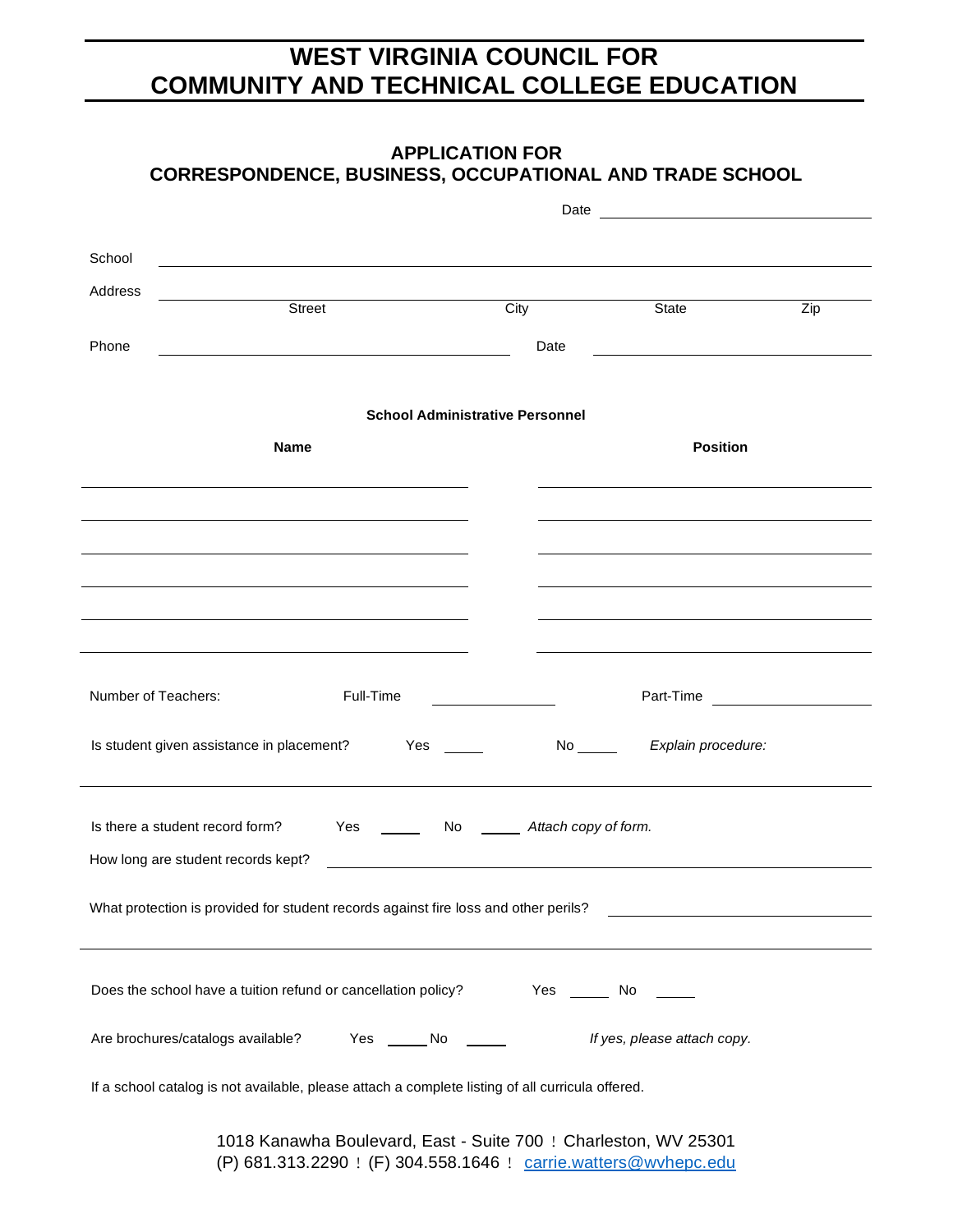|                     | <b>APPLICATION FOR</b><br><b>CORRESPONDENCE, BUSINESS, OCCUPATIONAL AND TRADE SCHOOL</b>                                                                                                                                             |                                  |                             |                  |
|---------------------|--------------------------------------------------------------------------------------------------------------------------------------------------------------------------------------------------------------------------------------|----------------------------------|-----------------------------|------------------|
|                     |                                                                                                                                                                                                                                      |                                  |                             |                  |
| School              |                                                                                                                                                                                                                                      |                                  |                             |                  |
| Address             | <u>Street and the Street and the Street and the Street and the Street and the Street and the Street and the Street and the Street and the Street and the Street and the Street and the Street and the Street and the Street and </u> | $\overline{City}$                | State                       | $\overline{Zip}$ |
| Phone               |                                                                                                                                                                                                                                      | Date                             |                             |                  |
|                     | <b>School Administrative Personnel</b>                                                                                                                                                                                               |                                  |                             |                  |
|                     | <b>Name</b>                                                                                                                                                                                                                          |                                  | <b>Position</b>             |                  |
|                     |                                                                                                                                                                                                                                      |                                  |                             |                  |
|                     |                                                                                                                                                                                                                                      |                                  |                             |                  |
|                     |                                                                                                                                                                                                                                      |                                  |                             |                  |
|                     |                                                                                                                                                                                                                                      |                                  |                             |                  |
| Number of Teachers: | Full-Time                                                                                                                                                                                                                            |                                  |                             |                  |
|                     | Is student given assistance in placement? Yes _____                                                                                                                                                                                  | $No \_\_$                        | Explain procedure:          |                  |
|                     | Is there a student record form?<br>Yes<br>How long are student records kept?<br><u> Alexandria de la contrada de la contrada de la contrada de la contrada de la contrada de la contrada de la c</u>                                 | No ________ Attach copy of form. |                             |                  |
|                     | What protection is provided for student records against fire loss and other perils?                                                                                                                                                  |                                  |                             |                  |
|                     | Does the school have a tuition refund or cancellation policy? Yes ________ No ______                                                                                                                                                 |                                  |                             |                  |
|                     | Are brochures/catalogs available? Yes ______ No ______                                                                                                                                                                               |                                  | If yes, please attach copy. |                  |
|                     | If a school catalog is not available, please attach a complete listing of all curricula offered.                                                                                                                                     |                                  |                             |                  |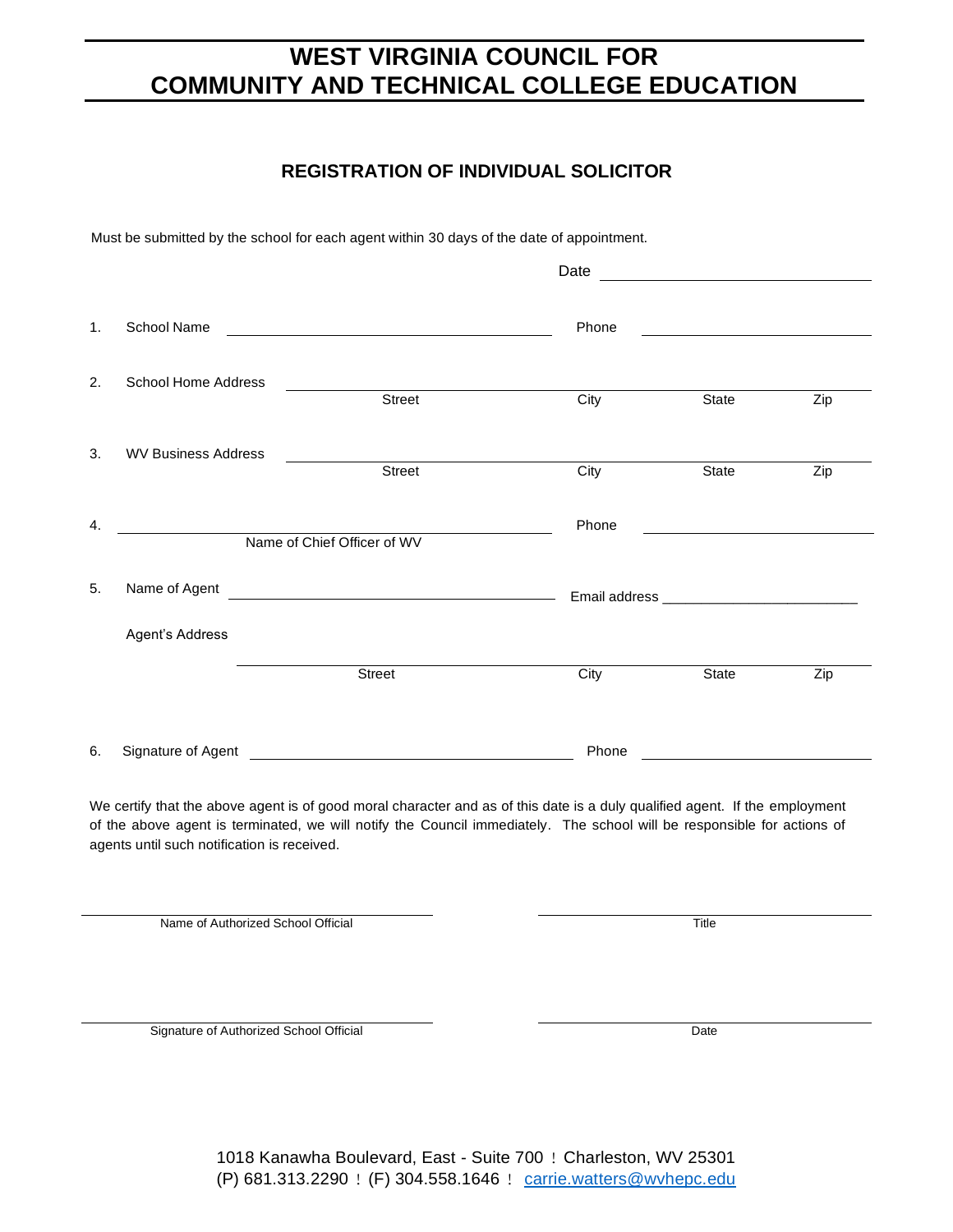### **REGISTRATION OF INDIVIDUAL SOLICITOR**

Must be submitted by the school for each agent within 30 days of the date of appointment.

|    |                            |                                               | Date  |                                                                                                                 |                  |
|----|----------------------------|-----------------------------------------------|-------|-----------------------------------------------------------------------------------------------------------------|------------------|
| 1. | <b>School Name</b>         | <u> 1980 - Jan Samuel Barbara, margaret e</u> | Phone | the contract of the contract of the contract of the contract of the contract of the contract of the contract of |                  |
| 2. | <b>School Home Address</b> |                                               |       |                                                                                                                 |                  |
|    |                            | Street                                        | City  | $\overline{\text{State}}$                                                                                       | $\overline{Zip}$ |
| 3. | <b>WV Business Address</b> |                                               |       |                                                                                                                 |                  |
|    |                            | <b>Street</b>                                 | City  | State                                                                                                           | Zip              |
| 4. |                            | Name of Chief Officer of WV                   | Phone | <u> 1989 - Andrea Stadt Britain, markin</u>                                                                     |                  |
|    |                            |                                               |       |                                                                                                                 |                  |
| 5. | Name of Agent              |                                               |       |                                                                                                                 |                  |
|    | Agent's Address            |                                               |       |                                                                                                                 |                  |
|    |                            | <b>Street</b>                                 | City  | State                                                                                                           | Zip              |
| 6. | Signature of Agent         |                                               | Phone |                                                                                                                 |                  |

We certify that the above agent is of good moral character and as of this date is a duly qualified agent. If the employment of the above agent is terminated, we will notify the Council immediately. The school will be responsible for actions of agents until such notification is received.

Name of Authorized School Official Title

Signature of Authorized School Official Date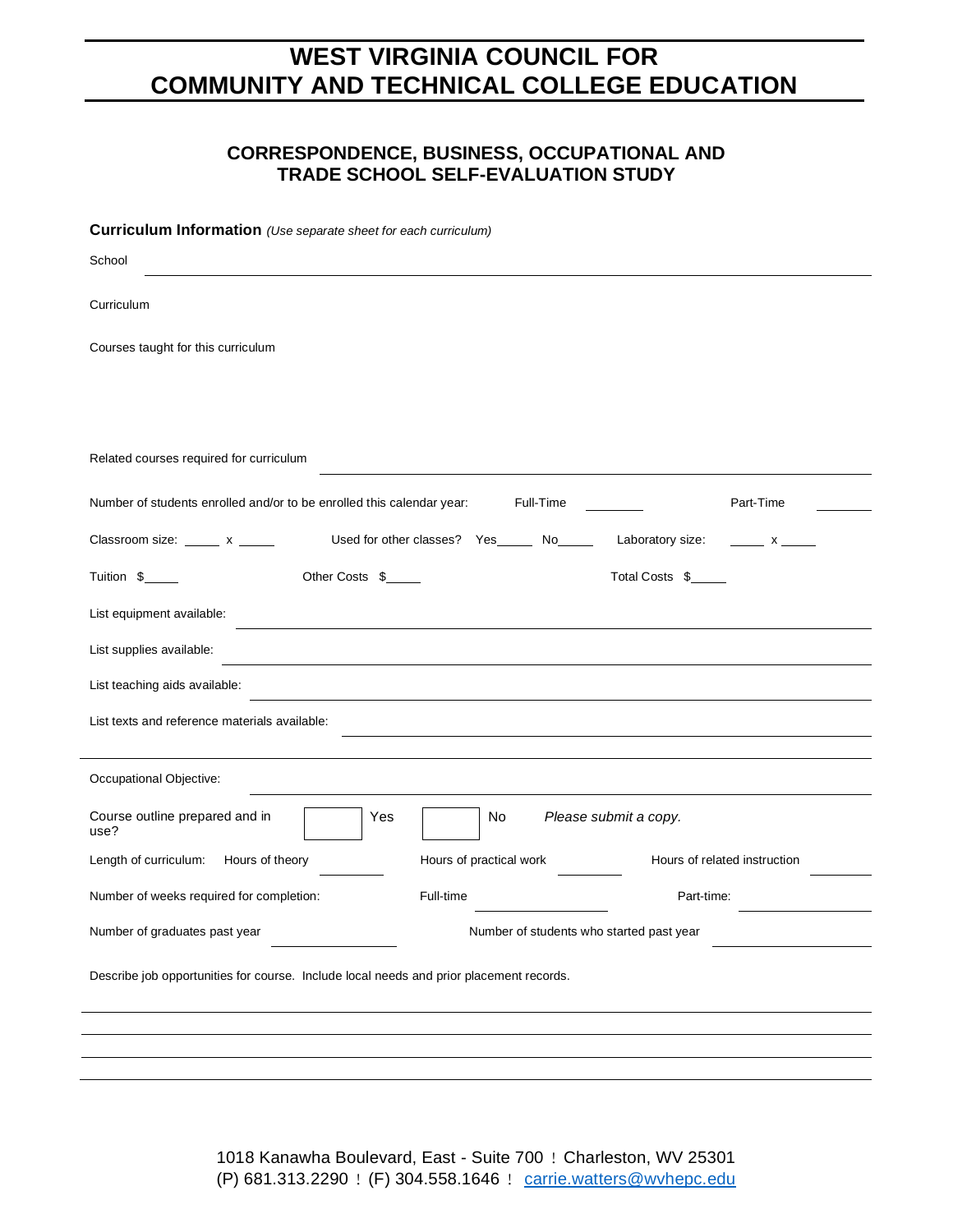### **CORRESPONDENCE, BUSINESS, OCCUPATIONAL AND TRADE SCHOOL SELF-EVALUATION STUDY**

| Curriculum Information (Use separate sheet for each curriculum)                                                |
|----------------------------------------------------------------------------------------------------------------|
| School                                                                                                         |
| Curriculum                                                                                                     |
| Courses taught for this curriculum                                                                             |
|                                                                                                                |
| Related courses required for curriculum                                                                        |
| Part-Time<br>Number of students enrolled and/or to be enrolled this calendar year:<br>Full-Time                |
| Used for other classes? Yes No<br>Laboratory size:<br>Classroom size: x ______ x<br>$\overline{\phantom{a}}$ x |
| Other Costs \$<br>Total Costs \$<br>Tuition \$                                                                 |
| List equipment available:                                                                                      |
| List supplies available:                                                                                       |
| List teaching aids available:                                                                                  |
| List texts and reference materials available:                                                                  |
| Occupational Objective:                                                                                        |
| Course outline prepared and in<br>Please submit a copy.<br>Yes<br>No.<br>use?                                  |
| Length of curriculum:<br>Hours of theory<br>Hours of practical work<br>Hours of related instruction            |
| Number of weeks required for completion:<br>Full-time<br>Part-time:                                            |
| Number of graduates past year<br>Number of students who started past year                                      |
| Describe job opportunities for course. Include local needs and prior placement records.                        |
|                                                                                                                |
|                                                                                                                |
|                                                                                                                |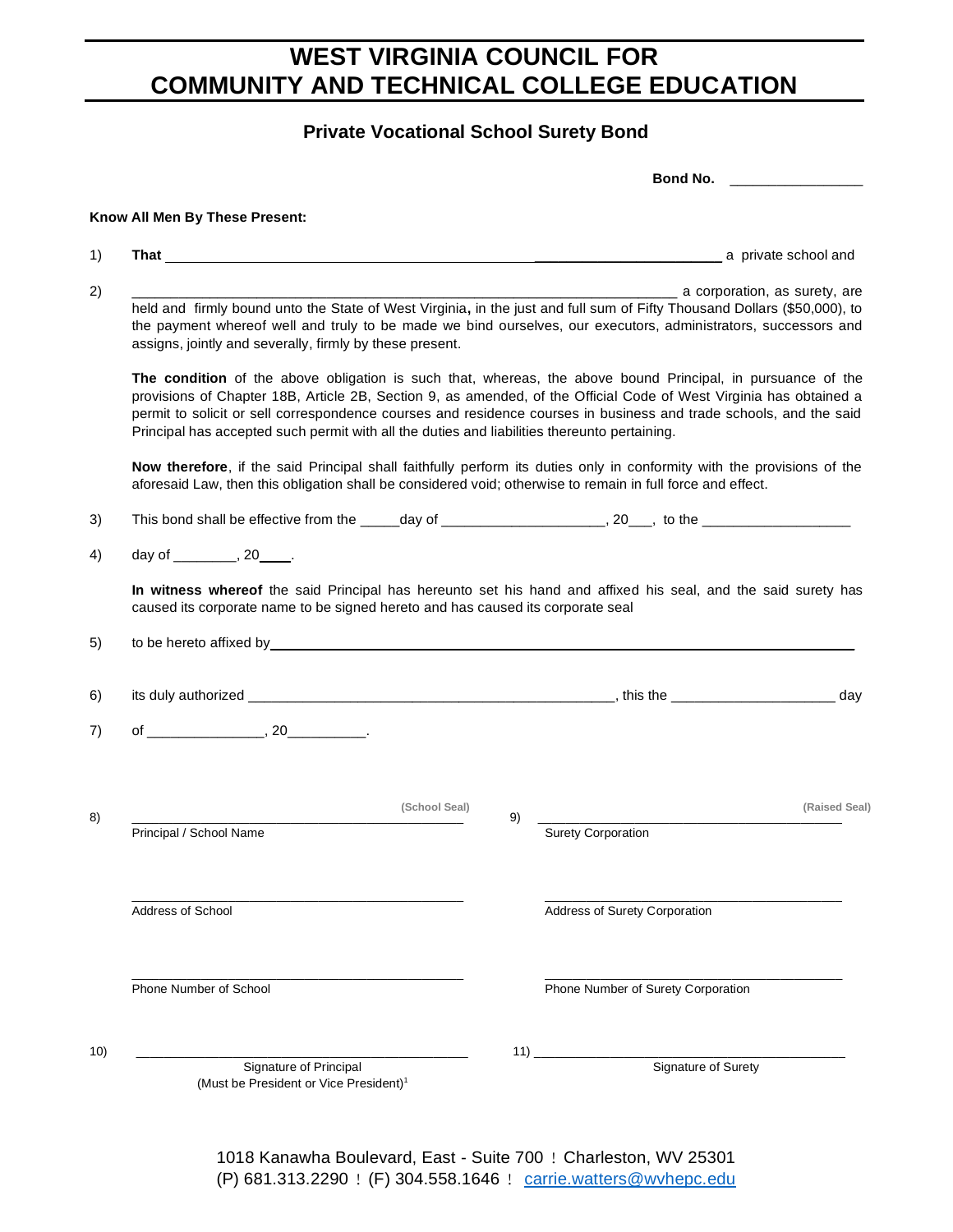### **Private Vocational School Surety Bond**

|                          |                                                                                                                                                                                                                                                                                                                                                                                                                                                         |                        |                                                                                                               |    |                           |                                    | Bond No. ____________________ |                      |
|--------------------------|---------------------------------------------------------------------------------------------------------------------------------------------------------------------------------------------------------------------------------------------------------------------------------------------------------------------------------------------------------------------------------------------------------------------------------------------------------|------------------------|---------------------------------------------------------------------------------------------------------------|----|---------------------------|------------------------------------|-------------------------------|----------------------|
|                          | Know All Men By These Present:                                                                                                                                                                                                                                                                                                                                                                                                                          |                        |                                                                                                               |    |                           |                                    |                               |                      |
|                          |                                                                                                                                                                                                                                                                                                                                                                                                                                                         |                        |                                                                                                               |    |                           |                                    |                               | a private school and |
|                          | held and firmly bound unto the State of West Virginia, in the just and full sum of Fifty Thousand Dollars (\$50,000), to<br>the payment whereof well and truly to be made we bind ourselves, our executors, administrators, successors and<br>assigns, jointly and severally, firmly by these present.                                                                                                                                                  |                        |                                                                                                               |    |                           | a corporation, as surety, are      |                               |                      |
|                          | The condition of the above obligation is such that, whereas, the above bound Principal, in pursuance of the<br>provisions of Chapter 18B, Article 2B, Section 9, as amended, of the Official Code of West Virginia has obtained a<br>permit to solicit or sell correspondence courses and residence courses in business and trade schools, and the said<br>Principal has accepted such permit with all the duties and liabilities thereunto pertaining. |                        |                                                                                                               |    |                           |                                    |                               |                      |
|                          | Now therefore, if the said Principal shall faithfully perform its duties only in conformity with the provisions of the<br>aforesaid Law, then this obligation shall be considered void; otherwise to remain in full force and effect.                                                                                                                                                                                                                   |                        |                                                                                                               |    |                           |                                    |                               |                      |
|                          |                                                                                                                                                                                                                                                                                                                                                                                                                                                         |                        |                                                                                                               |    |                           |                                    |                               |                      |
|                          | day of _________, 20_____.                                                                                                                                                                                                                                                                                                                                                                                                                              |                        |                                                                                                               |    |                           |                                    |                               |                      |
|                          |                                                                                                                                                                                                                                                                                                                                                                                                                                                         |                        |                                                                                                               |    |                           |                                    |                               |                      |
|                          | caused its corporate name to be signed hereto and has caused its corporate seal                                                                                                                                                                                                                                                                                                                                                                         |                        | In witness whereof the said Principal has hereunto set his hand and affixed his seal, and the said surety has |    |                           |                                    |                               |                      |
|                          |                                                                                                                                                                                                                                                                                                                                                                                                                                                         |                        |                                                                                                               |    |                           |                                    |                               |                      |
|                          |                                                                                                                                                                                                                                                                                                                                                                                                                                                         |                        |                                                                                                               |    |                           |                                    |                               |                      |
|                          |                                                                                                                                                                                                                                                                                                                                                                                                                                                         |                        | (School Seal)                                                                                                 |    |                           |                                    |                               |                      |
|                          | Principal / School Name                                                                                                                                                                                                                                                                                                                                                                                                                                 |                        |                                                                                                               | 9) | <b>Surety Corporation</b> |                                    |                               |                      |
| <b>Address of School</b> |                                                                                                                                                                                                                                                                                                                                                                                                                                                         |                        |                                                                                                               |    |                           | Address of Surety Corporation      |                               | (Raised Seal)        |
|                          | Phone Number of School                                                                                                                                                                                                                                                                                                                                                                                                                                  |                        |                                                                                                               |    |                           | Phone Number of Surety Corporation |                               |                      |
|                          |                                                                                                                                                                                                                                                                                                                                                                                                                                                         | Signature of Principal |                                                                                                               |    |                           |                                    | Signature of Surety           |                      |

(P) 681.313.2290 ! (F) 304.558.1646 ! [carrie.watters@wvhepc.edu](mailto:carrie.watters@wvhepc.edu)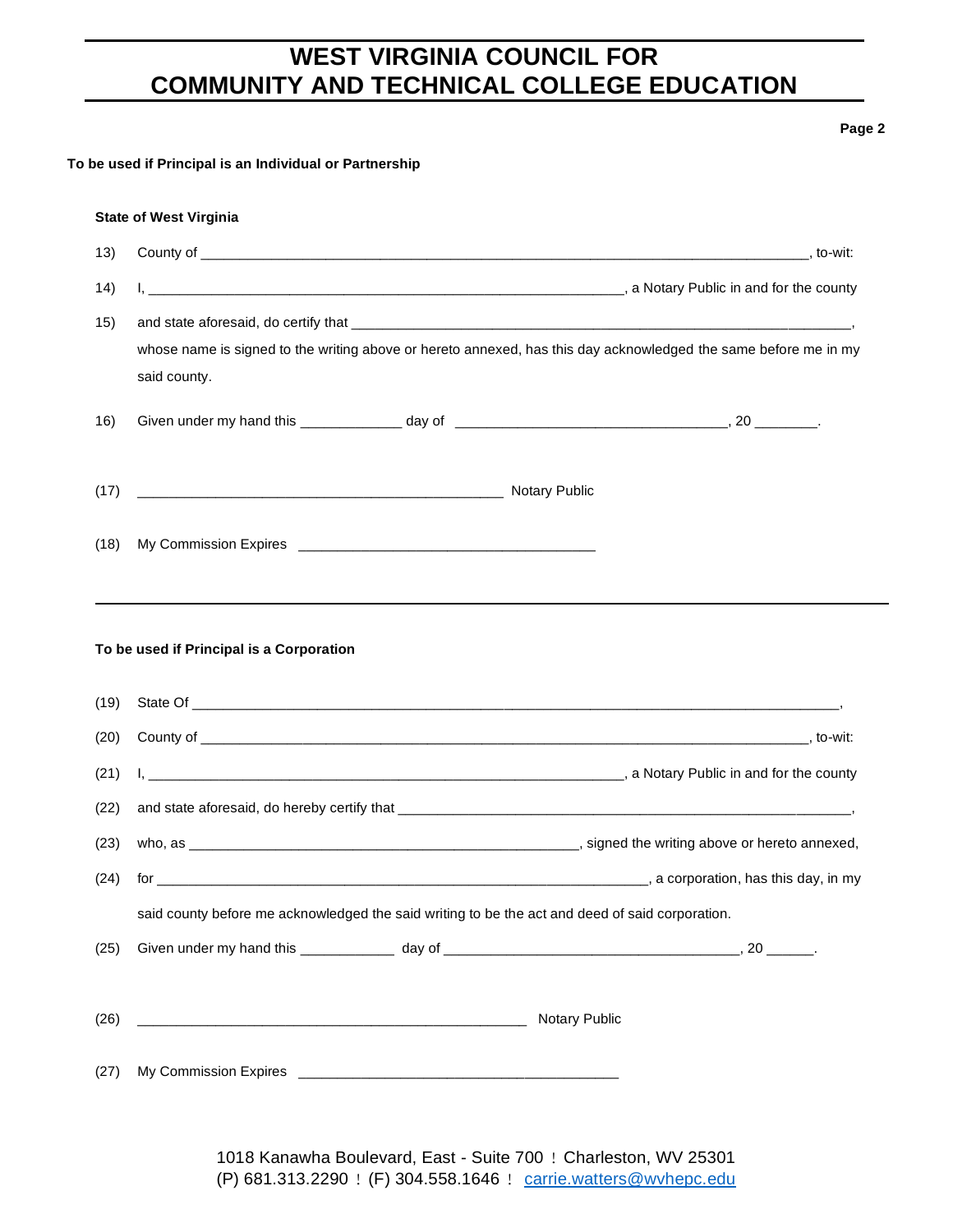#### **Page 2**

#### **To be used if Principal is an Individual or Partnership**

#### **State of West Virginia**

| 13)  |                                          |                                                                                                                 |  |
|------|------------------------------------------|-----------------------------------------------------------------------------------------------------------------|--|
| 14)  |                                          |                                                                                                                 |  |
| 15)  |                                          |                                                                                                                 |  |
|      |                                          | whose name is signed to the writing above or hereto annexed, has this day acknowledged the same before me in my |  |
|      | said county.                             |                                                                                                                 |  |
| 16)  |                                          |                                                                                                                 |  |
|      |                                          |                                                                                                                 |  |
| (17) |                                          |                                                                                                                 |  |
| (18) |                                          |                                                                                                                 |  |
|      |                                          |                                                                                                                 |  |
|      |                                          |                                                                                                                 |  |
|      | To be used if Principal is a Corporation |                                                                                                                 |  |
|      |                                          |                                                                                                                 |  |
| (19) |                                          |                                                                                                                 |  |
| (20) |                                          |                                                                                                                 |  |
| (21) |                                          |                                                                                                                 |  |
| (22) |                                          |                                                                                                                 |  |
| (23) |                                          |                                                                                                                 |  |
| (24) |                                          |                                                                                                                 |  |
|      |                                          | said county before me acknowledged the said writing to be the act and deed of said corporation.                 |  |
| (25) |                                          |                                                                                                                 |  |
|      |                                          |                                                                                                                 |  |
| (26) |                                          | Notary Public                                                                                                   |  |
|      |                                          |                                                                                                                 |  |
| (27) |                                          |                                                                                                                 |  |